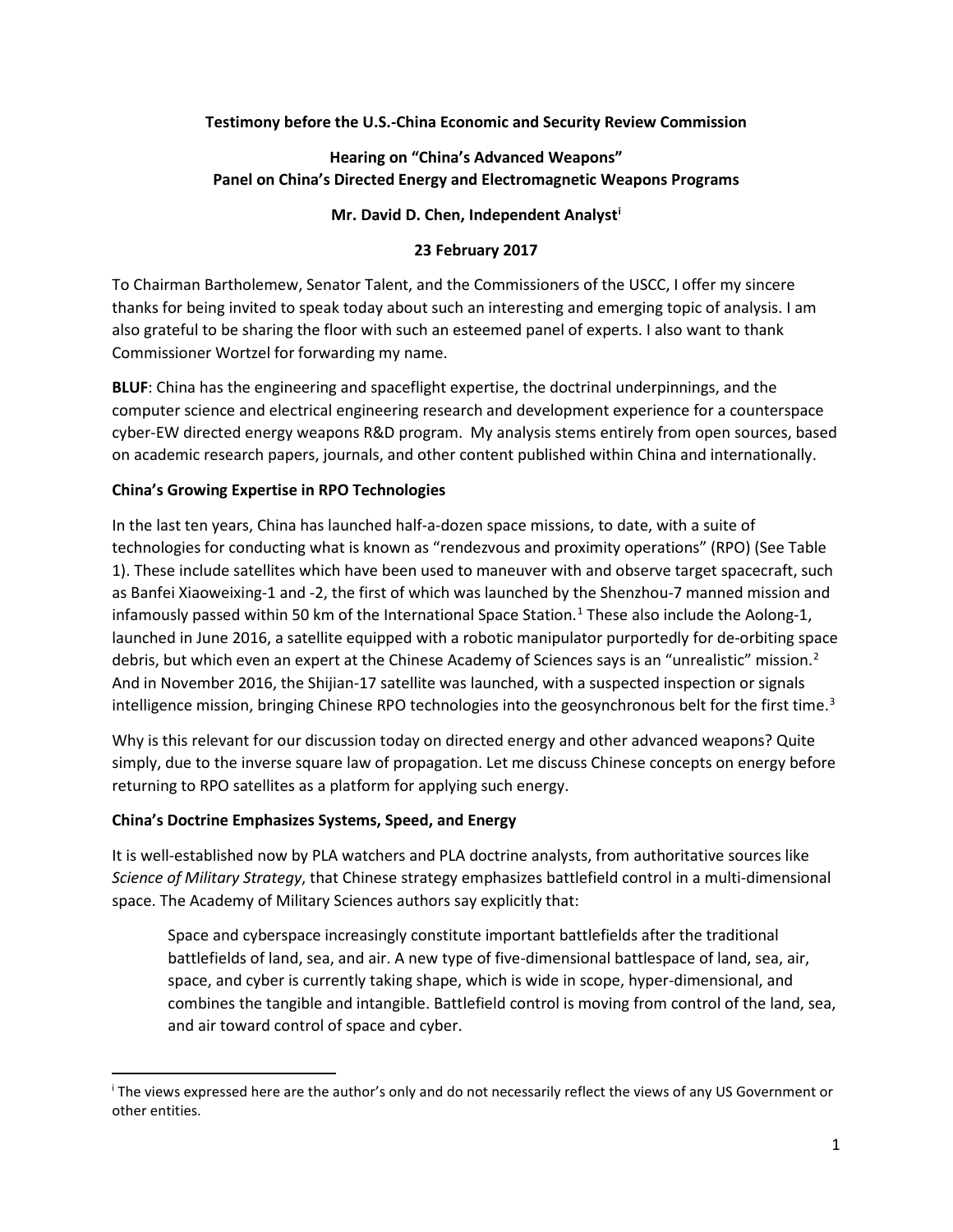## **Testimony before the U.S.-China Economic and Security Review Commission**

# **Hearing on "China's Advanced Weapons" Panel on China's Directed Energy and Electromagnetic Weapons Programs**

## **Mr. David D. Chen, Independent Analyst[i](#page-0-0)**

## **23 February 2017**

To Chairman Bartholemew, Senator Talent, and the Commissioners of the USCC, I offer my sincere thanks for being invited to speak today about such an interesting and emerging topic of analysis. I am also grateful to be sharing the floor with such an esteemed panel of experts. I also want to thank Commissioner Wortzel for forwarding my name.

**BLUF**: China has the engineering and spaceflight expertise, the doctrinal underpinnings, and the computer science and electrical engineering research and development experience for a counterspace cyber-EW directed energy weapons R&D program. My analysis stems entirely from open sources, based on academic research papers, journals, and other content published within China and internationally.

## **China's Growing Expertise in RPO Technologies**

In the last ten years, China has launched half-a-dozen space missions, to date, with a suite of technologies for conducting what is known as "rendezvous and proximity operations" (RPO) (See Table 1). These include satellites which have been used to maneuver with and observe target spacecraft, such as Banfei Xiaoweixing-1 and -2, the first of which was launched by the Shenzhou-7 manned mission and infamously passed within 50 km of the International Space Station.<sup>[1](#page-5-0)</sup> These also include the Aolong-1, launched in June 2016, a satellite equipped with a robotic manipulator purportedly for de-orbiting space debris, but which even an expert at the Chinese Academy of Sciences says is an "unrealistic" mission.<sup>[2](#page-5-1)</sup> And in November 2016, the Shijian-17 satellite was launched, with a suspected inspection or signals intelligence mission, bringing Chinese RPO technologies into the geosynchronous belt for the first time.<sup>[3](#page-5-2)</sup>

Why is this relevant for our discussion today on directed energy and other advanced weapons? Quite simply, due to the inverse square law of propagation. Let me discuss Chinese concepts on energy before returning to RPO satellites as a platform for applying such energy.

## **China's Doctrine Emphasizes Systems, Speed, and Energy**

It is well-established now by PLA watchers and PLA doctrine analysts, from authoritative sources like *Science of Military Strategy*, that Chinese strategy emphasizes battlefield control in a multi-dimensional space. The Academy of Military Sciences authors say explicitly that:

Space and cyberspace increasingly constitute important battlefields after the traditional battlefields of land, sea, and air. A new type of five-dimensional battlespace of land, sea, air, space, and cyber is currently taking shape, which is wide in scope, hyper-dimensional, and combines the tangible and intangible. Battlefield control is moving from control of the land, sea, and air toward control of space and cyber.

<span id="page-0-0"></span>i The views expressed here are the author's only and do not necessarily reflect the views of any US Government or other entities.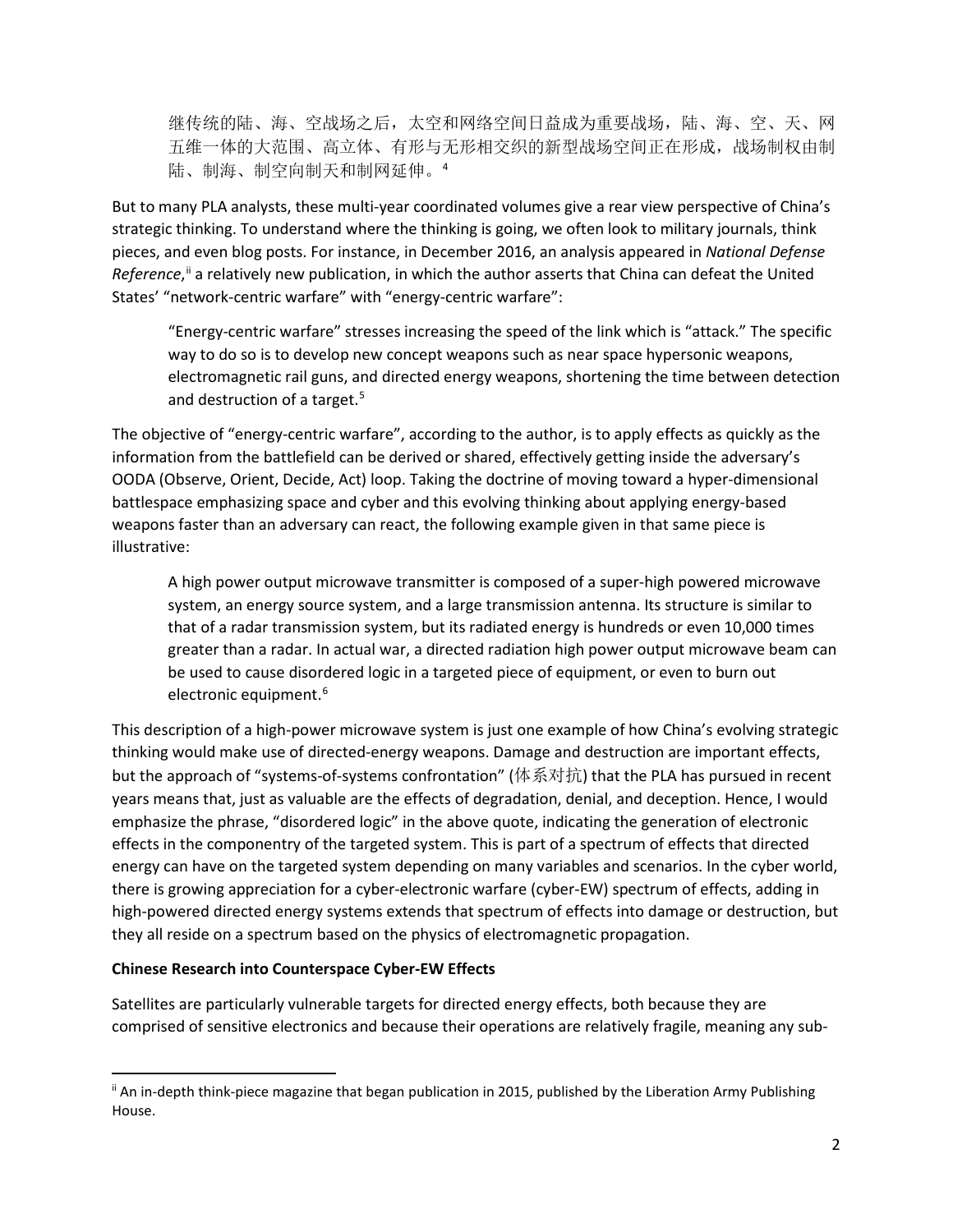继传统的陆、海、空战场之后,太空和网络空间日益成为重要战场,陆、海、空、天、网 五维一体的大范围、高立体、有形与无形相交织的新型战场空间正在形成,战场制权由制 陆、制海、制空向制天和制网延伸。[4](#page-6-0)

But to many PLA analysts, these multi-year coordinated volumes give a rear view perspective of China's strategic thinking. To understand where the thinking is going, we often look to military journals, think pieces, and even blog posts. For instance, in December 2016, an analysis appeared in *National Defense*  Reference,<sup>[ii](#page-1-0)</sup> a relatively new publication, in which the author asserts that China can defeat the United States' "network-centric warfare" with "energy-centric warfare":

"Energy-centric warfare" stresses increasing the speed of the link which is "attack." The specific way to do so is to develop new concept weapons such as near space hypersonic weapons, electromagnetic rail guns, and directed energy weapons, shortening the time between detection and destruction of a target.<sup>[5](#page-6-1)</sup>

The objective of "energy-centric warfare", according to the author, is to apply effects as quickly as the information from the battlefield can be derived or shared, effectively getting inside the adversary's OODA (Observe, Orient, Decide, Act) loop. Taking the doctrine of moving toward a hyper-dimensional battlespace emphasizing space and cyber and this evolving thinking about applying energy-based weapons faster than an adversary can react, the following example given in that same piece is illustrative:

A high power output microwave transmitter is composed of a super-high powered microwave system, an energy source system, and a large transmission antenna. Its structure is similar to that of a radar transmission system, but its radiated energy is hundreds or even 10,000 times greater than a radar. In actual war, a directed radiation high power output microwave beam can be used to cause disordered logic in a targeted piece of equipment, or even to burn out electronic equipment.<sup>[6](#page-6-2)</sup>

This description of a high-power microwave system is just one example of how China's evolving strategic thinking would make use of directed-energy weapons. Damage and destruction are important effects, but the approach of "systems-of-systems confrontation" (体系对抗) that the PLA has pursued in recent years means that, just as valuable are the effects of degradation, denial, and deception. Hence, I would emphasize the phrase, "disordered logic" in the above quote, indicating the generation of electronic effects in the componentry of the targeted system. This is part of a spectrum of effects that directed energy can have on the targeted system depending on many variables and scenarios. In the cyber world, there is growing appreciation for a cyber-electronic warfare (cyber-EW) spectrum of effects, adding in high-powered directed energy systems extends that spectrum of effects into damage or destruction, but they all reside on a spectrum based on the physics of electromagnetic propagation.

#### **Chinese Research into Counterspace Cyber-EW Effects**

Satellites are particularly vulnerable targets for directed energy effects, both because they are comprised of sensitive electronics and because their operations are relatively fragile, meaning any sub-

<span id="page-1-0"></span>ii An in-depth think-piece magazine that began publication in 2015, published by the Liberation Army Publishing House.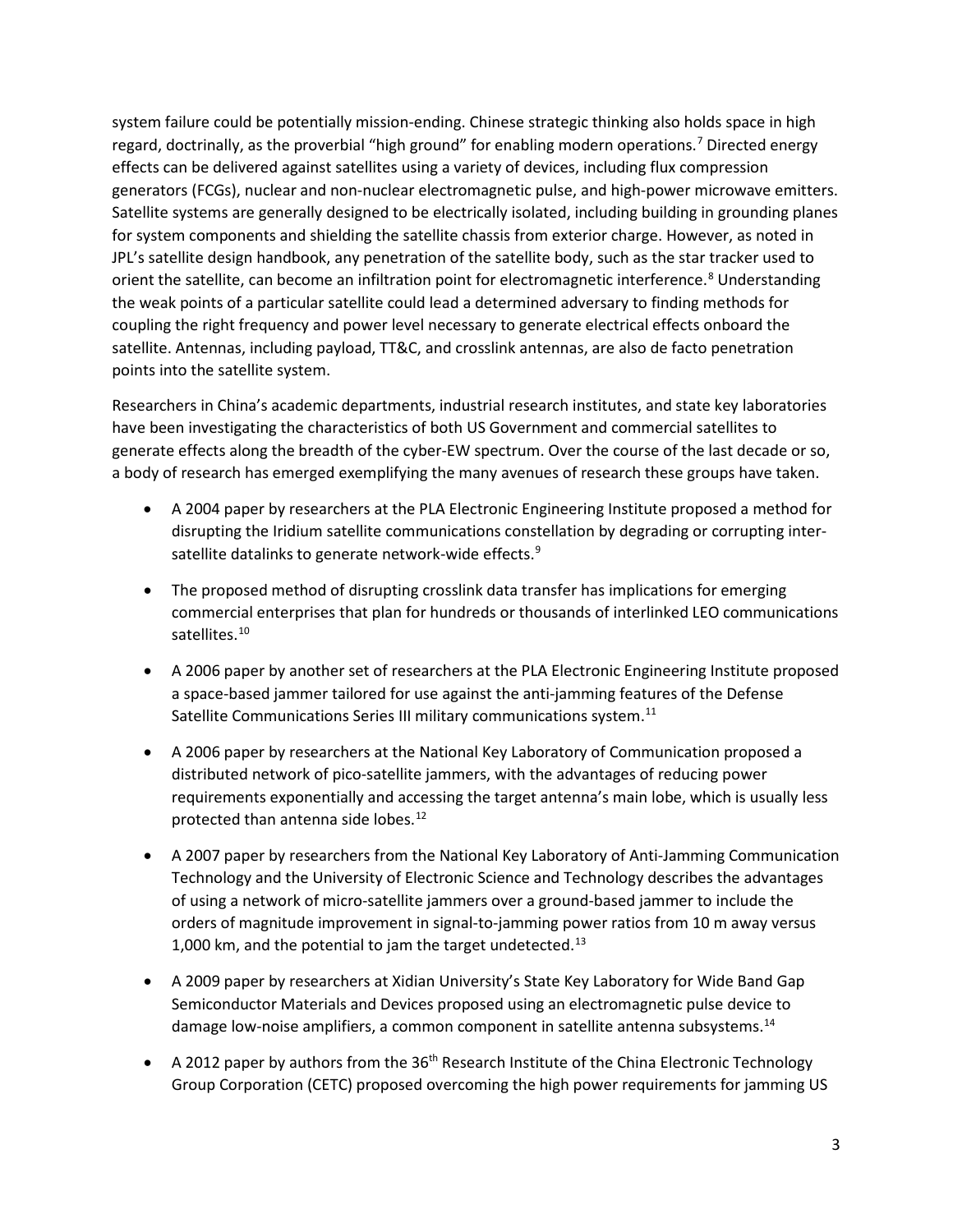system failure could be potentially mission-ending. Chinese strategic thinking also holds space in high regard, doctrinally, as the proverbial "high ground" for enabling modern operations.[7](#page-7-0) Directed energy effects can be delivered against satellites using a variety of devices, including flux compression generators (FCGs), nuclear and non-nuclear electromagnetic pulse, and high-power microwave emitters. Satellite systems are generally designed to be electrically isolated, including building in grounding planes for system components and shielding the satellite chassis from exterior charge. However, as noted in JPL's satellite design handbook, any penetration of the satellite body, such as the star tracker used to orient the satellite, can become an infiltration point for electromagnetic interference. [8](#page-7-1) Understanding the weak points of a particular satellite could lead a determined adversary to finding methods for coupling the right frequency and power level necessary to generate electrical effects onboard the satellite. Antennas, including payload, TT&C, and crosslink antennas, are also de facto penetration points into the satellite system.

Researchers in China's academic departments, industrial research institutes, and state key laboratories have been investigating the characteristics of both US Government and commercial satellites to generate effects along the breadth of the cyber-EW spectrum. Over the course of the last decade or so, a body of research has emerged exemplifying the many avenues of research these groups have taken.

- A 2004 paper by researchers at the PLA Electronic Engineering Institute proposed a method for disrupting the Iridium satellite communications constellation by degrading or corrupting inter-satellite datalinks to generate network-wide effects.<sup>[9](#page-7-2)</sup>
- The proposed method of disrupting crosslink data transfer has implications for emerging commercial enterprises that plan for hundreds or thousands of interlinked LEO communications satellites.<sup>[10](#page-7-3)</sup>
- A 2006 paper by another set of researchers at the PLA Electronic Engineering Institute proposed a space-based jammer tailored for use against the anti-jamming features of the Defense Satellite Communications Series III military communications system. $^{11}$  $^{11}$  $^{11}$
- A 2006 paper by researchers at the National Key Laboratory of Communication proposed a distributed network of pico-satellite jammers, with the advantages of reducing power requirements exponentially and accessing the target antenna's main lobe, which is usually less protected than antenna side lobes.<sup>[12](#page-7-5)</sup>
- A 2007 paper by researchers from the National Key Laboratory of Anti-Jamming Communication Technology and the University of Electronic Science and Technology describes the advantages of using a network of micro-satellite jammers over a ground-based jammer to include the orders of magnitude improvement in signal-to-jamming power ratios from 10 m away versus 1,000 km, and the potential to jam the target undetected. $^{13}$  $^{13}$  $^{13}$
- A 2009 paper by researchers at Xidian University's State Key Laboratory for Wide Band Gap Semiconductor Materials and Devices proposed using an electromagnetic pulse device to damage low-noise amplifiers, a common component in satellite antenna subsystems.<sup>[14](#page-7-7)</sup>
- A 2012 paper by authors from the 36<sup>th</sup> Research Institute of the China Electronic Technology Group Corporation (CETC) proposed overcoming the high power requirements for jamming US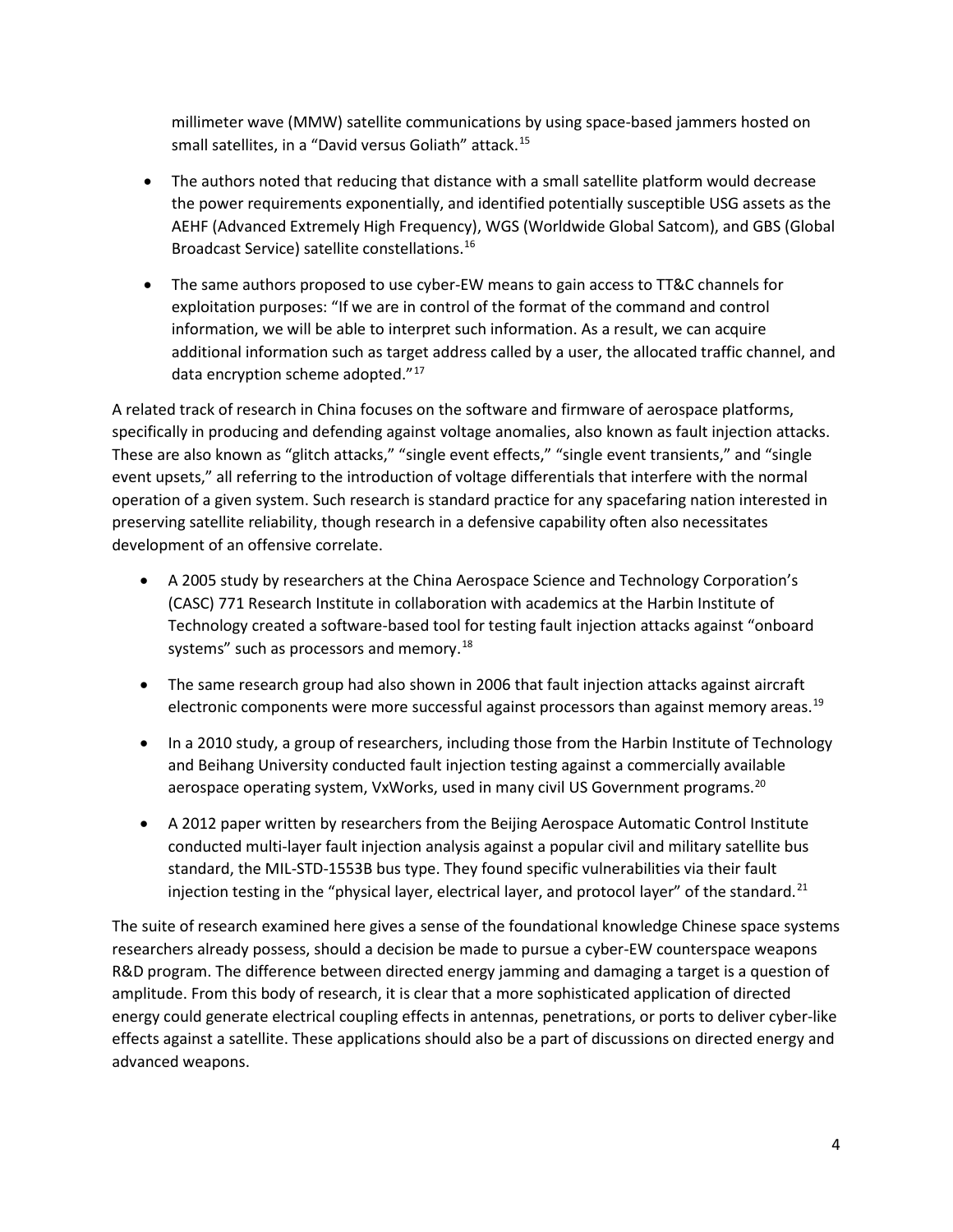millimeter wave (MMW) satellite communications by using space-based jammers hosted on small satellites, in a "David versus Goliath" attack.<sup>[15](#page-7-8)</sup>

- The authors noted that reducing that distance with a small satellite platform would decrease the power requirements exponentially, and identified potentially susceptible USG assets as the AEHF (Advanced Extremely High Frequency), WGS (Worldwide Global Satcom), and GBS (Global Broadcast Service) satellite constellations[.16](#page-7-9)
- The same authors proposed to use cyber-EW means to gain access to TT&C channels for exploitation purposes: "If we are in control of the format of the command and control information, we will be able to interpret such information. As a result, we can acquire additional information such as target address called by a user, the allocated traffic channel, and data encryption scheme adopted."<sup>[17](#page-7-10)</sup>

A related track of research in China focuses on the software and firmware of aerospace platforms, specifically in producing and defending against voltage anomalies, also known as fault injection attacks. These are also known as "glitch attacks," "single event effects," "single event transients," and "single event upsets," all referring to the introduction of voltage differentials that interfere with the normal operation of a given system. Such research is standard practice for any spacefaring nation interested in preserving satellite reliability, though research in a defensive capability often also necessitates development of an offensive correlate.

- A 2005 study by researchers at the China Aerospace Science and Technology Corporation's (CASC) 771 Research Institute in collaboration with academics at the Harbin Institute of Technology created a software-based tool for testing fault injection attacks against "onboard systems" such as processors and memory.<sup>[18](#page-7-11)</sup>
- The same research group had also shown in 2006 that fault injection attacks against aircraft electronic components were more successful against processors than against memory areas.<sup>19</sup>
- In a 2010 study, a group of researchers, including those from the Harbin Institute of Technology and Beihang University conducted fault injection testing against a commercially available aerospace operating system, VxWorks, used in many civil US Government programs.<sup>[20](#page-7-13)</sup>
- A 2012 paper written by researchers from the Beijing Aerospace Automatic Control Institute conducted multi-layer fault injection analysis against a popular civil and military satellite bus standard, the MIL-STD-1553B bus type. They found specific vulnerabilities via their fault injection testing in the "physical layer, electrical layer, and protocol layer" of the standard.<sup>[21](#page-7-14)</sup>

The suite of research examined here gives a sense of the foundational knowledge Chinese space systems researchers already possess, should a decision be made to pursue a cyber-EW counterspace weapons R&D program. The difference between directed energy jamming and damaging a target is a question of amplitude. From this body of research, it is clear that a more sophisticated application of directed energy could generate electrical coupling effects in antennas, penetrations, or ports to deliver cyber-like effects against a satellite. These applications should also be a part of discussions on directed energy and advanced weapons.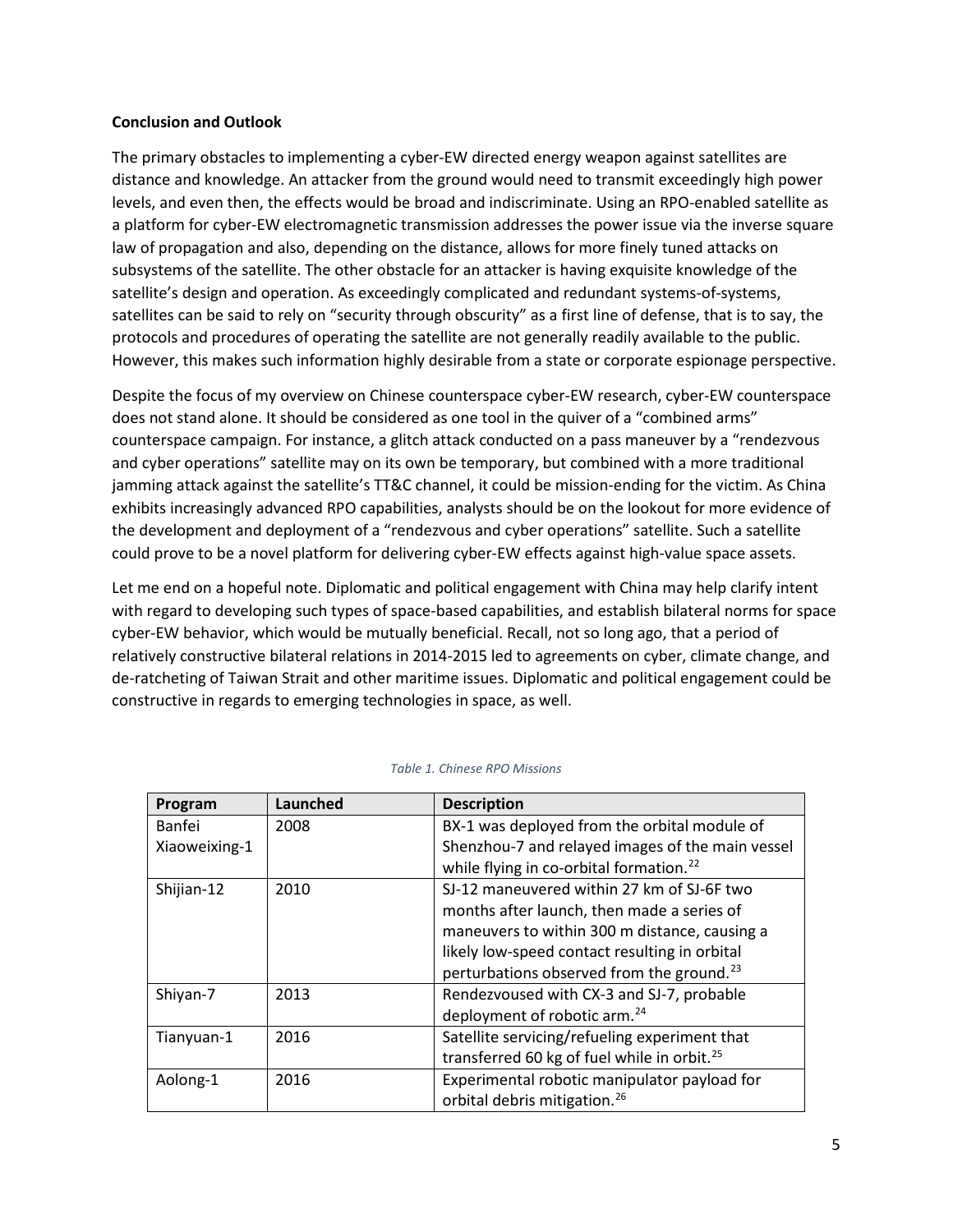#### **Conclusion and Outlook**

The primary obstacles to implementing a cyber-EW directed energy weapon against satellites are distance and knowledge. An attacker from the ground would need to transmit exceedingly high power levels, and even then, the effects would be broad and indiscriminate. Using an RPO-enabled satellite as a platform for cyber-EW electromagnetic transmission addresses the power issue via the inverse square law of propagation and also, depending on the distance, allows for more finely tuned attacks on subsystems of the satellite. The other obstacle for an attacker is having exquisite knowledge of the satellite's design and operation. As exceedingly complicated and redundant systems-of-systems, satellites can be said to rely on "security through obscurity" as a first line of defense, that is to say, the protocols and procedures of operating the satellite are not generally readily available to the public. However, this makes such information highly desirable from a state or corporate espionage perspective.

Despite the focus of my overview on Chinese counterspace cyber-EW research, cyber-EW counterspace does not stand alone. It should be considered as one tool in the quiver of a "combined arms" counterspace campaign. For instance, a glitch attack conducted on a pass maneuver by a "rendezvous and cyber operations" satellite may on its own be temporary, but combined with a more traditional jamming attack against the satellite's TT&C channel, it could be mission-ending for the victim. As China exhibits increasingly advanced RPO capabilities, analysts should be on the lookout for more evidence of the development and deployment of a "rendezvous and cyber operations" satellite. Such a satellite could prove to be a novel platform for delivering cyber-EW effects against high-value space assets.

Let me end on a hopeful note. Diplomatic and political engagement with China may help clarify intent with regard to developing such types of space-based capabilities, and establish bilateral norms for space cyber-EW behavior, which would be mutually beneficial. Recall, not so long ago, that a period of relatively constructive bilateral relations in 2014-2015 led to agreements on cyber, climate change, and de-ratcheting of Taiwan Strait and other maritime issues. Diplomatic and political engagement could be constructive in regards to emerging technologies in space, as well.

| Program       | Launched | <b>Description</b>                                      |
|---------------|----------|---------------------------------------------------------|
| <b>Banfei</b> | 2008     | BX-1 was deployed from the orbital module of            |
| Xiaoweixing-1 |          | Shenzhou-7 and relayed images of the main vessel        |
|               |          | while flying in co-orbital formation. <sup>22</sup>     |
| Shijian-12    | 2010     | SJ-12 maneuvered within 27 km of SJ-6F two              |
|               |          | months after launch, then made a series of              |
|               |          | maneuvers to within 300 m distance, causing a           |
|               |          | likely low-speed contact resulting in orbital           |
|               |          | perturbations observed from the ground. <sup>23</sup>   |
| Shiyan-7      | 2013     | Rendezvoused with CX-3 and SJ-7, probable               |
|               |          | deployment of robotic arm. <sup>24</sup>                |
| Tianyuan-1    | 2016     | Satellite servicing/refueling experiment that           |
|               |          | transferred 60 kg of fuel while in orbit. <sup>25</sup> |
| Aolong-1      | 2016     | Experimental robotic manipulator payload for            |
|               |          | orbital debris mitigation. <sup>26</sup>                |

*Table 1. Chinese RPO Missions*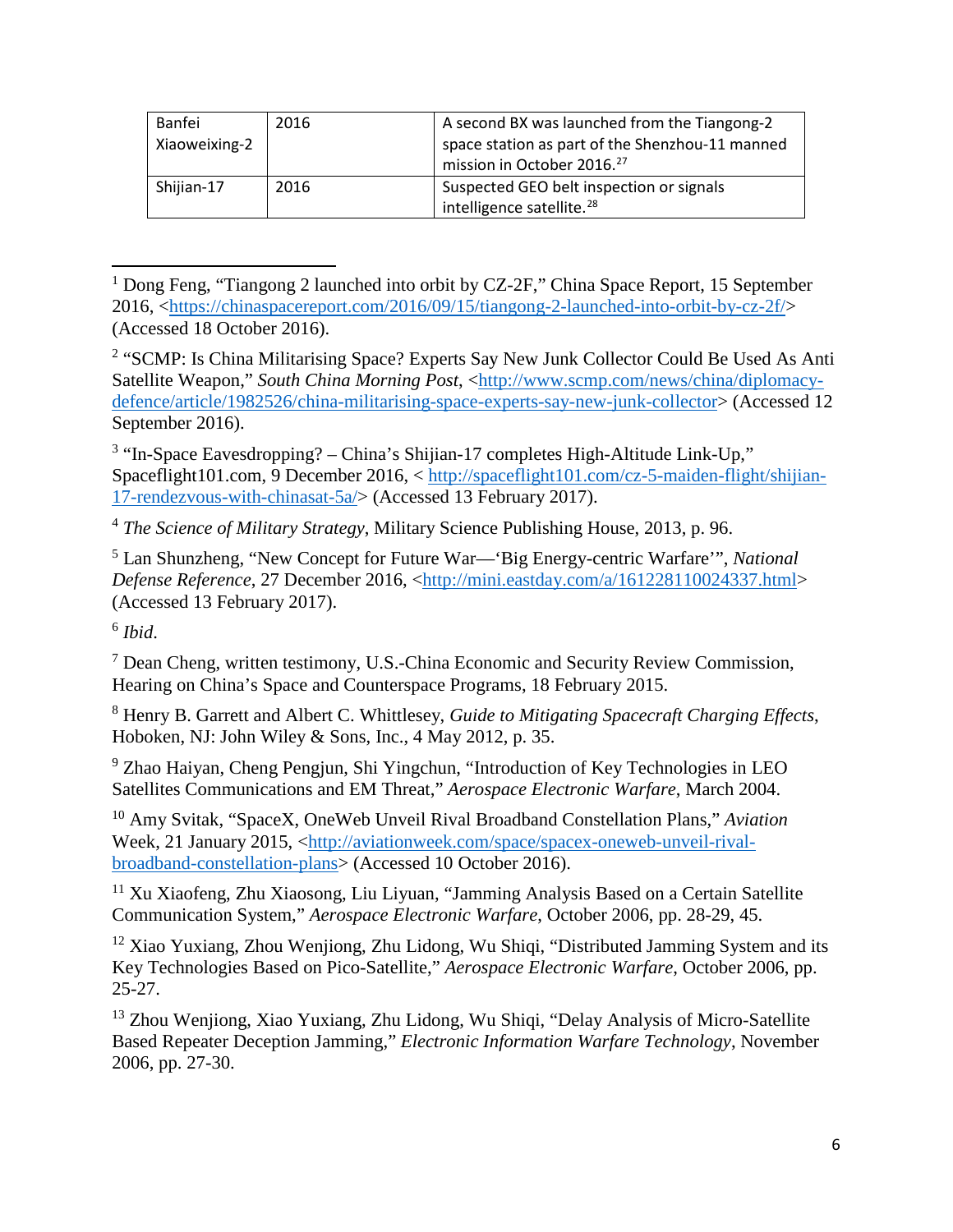| Banfei<br>Xiaoweixing-2 | 2016 | A second BX was launched from the Tiangong-2<br>space station as part of the Shenzhou-11 manned<br>mission in October 2016. <sup>27</sup> |
|-------------------------|------|-------------------------------------------------------------------------------------------------------------------------------------------|
| Shijian-17              | 2016 | Suspected GEO belt inspection or signals<br>intelligence satellite. <sup>28</sup>                                                         |

<span id="page-5-0"></span><sup>&</sup>lt;sup>1</sup> Dong Feng, "Tiangong 2 launched into orbit by CZ-2F," China Space Report, 15 September 2016, [<https://chinaspacereport.com/2016/09/15/tiangong-2-launched-into-orbit-by-cz-2f/>](https://chinaspacereport.com/2016/09/15/tiangong-2-launched-into-orbit-by-cz-2f/) (Accessed 18 October 2016).

<span id="page-5-1"></span><sup>2</sup> "SCMP: Is China Militarising Space? Experts Say New Junk Collector Could Be Used As Anti Satellite Weapon," *South China Morning Post*, [<http://www.scmp.com/news/china/diplomacy](http://www.scmp.com/news/china/diplomacy-defence/article/1982526/china-militarising-space-experts-say-new-junk-collector)[defence/article/1982526/china-militarising-space-experts-say-new-junk-collector>](http://www.scmp.com/news/china/diplomacy-defence/article/1982526/china-militarising-space-experts-say-new-junk-collector) (Accessed 12 September 2016).

<span id="page-5-2"></span> $3$  "In-Space Eavesdropping? – China's Shijian-17 completes High-Altitude Link-Up," Spaceflight101.com, 9 December 2016, < [http://spaceflight101.com/cz-5-maiden-flight/shijian-](http://spaceflight101.com/cz-5-maiden-flight/shijian-17-rendezvous-with-chinasat-5a/)[17-rendezvous-with-chinasat-5a/>](http://spaceflight101.com/cz-5-maiden-flight/shijian-17-rendezvous-with-chinasat-5a/) (Accessed 13 February 2017).

<sup>4</sup> *The Science of Military Strategy*, Military Science Publishing House, 2013, p. 96.

<sup>5</sup> Lan Shunzheng, "New Concept for Future War—'Big Energy-centric Warfare'", *National Defense Reference*, 27 December 2016, [<http://mini.eastday.com/a/161228110024337.html>](http://mini.eastday.com/a/161228110024337.html) (Accessed 13 February 2017).

<sup>6</sup> *Ibid*.

 $\overline{\phantom{a}}$ 

<sup>7</sup> Dean Cheng, written testimony, U.S.-China Economic and Security Review Commission, Hearing on China's Space and Counterspace Programs, 18 February 2015.

<sup>8</sup> Henry B. Garrett and Albert C. Whittlesey, *Guide to Mitigating Spacecraft Charging Effects*, Hoboken, NJ: John Wiley & Sons, Inc., 4 May 2012, p. 35.

<sup>9</sup> Zhao Haiyan, Cheng Pengjun, Shi Yingchun, "Introduction of Key Technologies in LEO Satellites Communications and EM Threat," *Aerospace Electronic Warfare*, March 2004.

<sup>10</sup> Amy Svitak, "SpaceX, OneWeb Unveil Rival Broadband Constellation Plans," *Aviation*  Week, 21 January 2015, [<http://aviationweek.com/space/spacex-oneweb-unveil-rival](http://aviationweek.com/space/spacex-oneweb-unveil-rival-broadband-constellation-plans)[broadband-constellation-plans>](http://aviationweek.com/space/spacex-oneweb-unveil-rival-broadband-constellation-plans) (Accessed 10 October 2016).

<sup>11</sup> Xu Xiaofeng, Zhu Xiaosong, Liu Liyuan, "Jamming Analysis Based on a Certain Satellite Communication System," *Aerospace Electronic Warfare*, October 2006, pp. 28-29, 45.

<sup>12</sup> Xiao Yuxiang, Zhou Wenjiong, Zhu Lidong, Wu Shiqi, "Distributed Jamming System and its Key Technologies Based on Pico-Satellite," *Aerospace Electronic Warfare*, October 2006, pp. 25-27.

<sup>13</sup> Zhou Wenjiong, Xiao Yuxiang, Zhu Lidong, Wu Shiqi, "Delay Analysis of Micro-Satellite Based Repeater Deception Jamming," *Electronic Information Warfare Technology*, November 2006, pp. 27-30.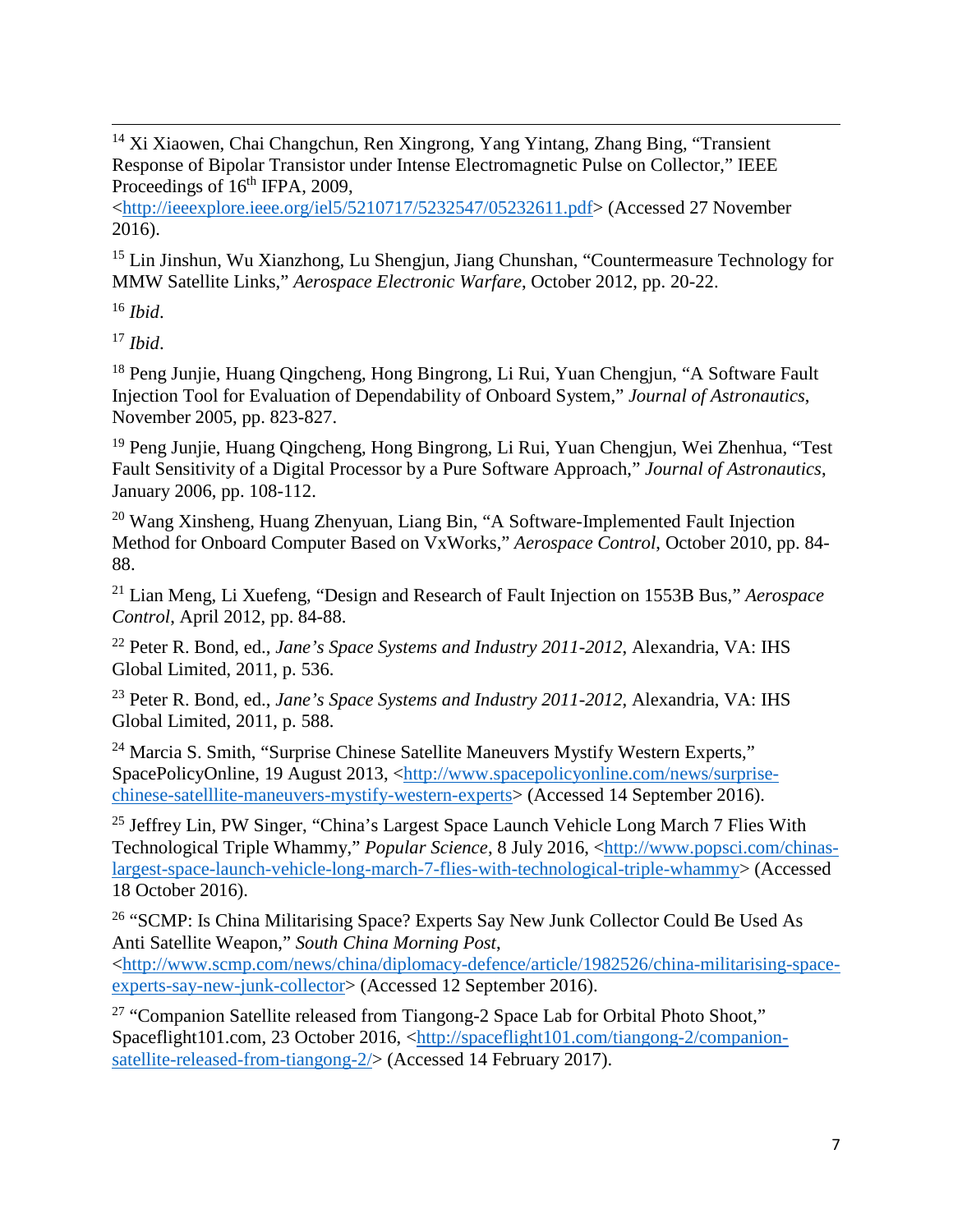$\overline{\phantom{a}}$ <sup>14</sup> Xi Xiaowen, Chai Changchun, Ren Xingrong, Yang Yintang, Zhang Bing, "Transient Response of Bipolar Transistor under Intense Electromagnetic Pulse on Collector," IEEE Proceedings of  $16<sup>th</sup>$  IFPA, 2009,

[<http://ieeexplore.ieee.org/iel5/5210717/5232547/05232611.pdf>](http://ieeexplore.ieee.org/iel5/5210717/5232547/05232611.pdf) (Accessed 27 November 2016).

<sup>15</sup> Lin Jinshun, Wu Xianzhong, Lu Shengjun, Jiang Chunshan, "Countermeasure Technology for MMW Satellite Links," *Aerospace Electronic Warfare*, October 2012, pp. 20-22.

<sup>16</sup> *Ibid*.

<sup>17</sup> *Ibid*.

<sup>18</sup> Peng Junjie, Huang Qingcheng, Hong Bingrong, Li Rui, Yuan Chengjun, "A Software Fault Injection Tool for Evaluation of Dependability of Onboard System," *Journal of Astronautics*, November 2005, pp. 823-827.

<sup>19</sup> Peng Junjie, Huang Qingcheng, Hong Bingrong, Li Rui, Yuan Chengjun, Wei Zhenhua, "Test Fault Sensitivity of a Digital Processor by a Pure Software Approach," *Journal of Astronautics*, January 2006, pp. 108-112.

<span id="page-6-0"></span><sup>20</sup> Wang Xinsheng, Huang Zhenyuan, Liang Bin, "A Software-Implemented Fault Injection Method for Onboard Computer Based on VxWorks," *Aerospace Control*, October 2010, pp. 84- 88.

<span id="page-6-1"></span><sup>21</sup> Lian Meng, Li Xuefeng, "Design and Research of Fault Injection on 1553B Bus," *Aerospace Control*, April 2012, pp. 84-88.

<span id="page-6-2"></span><sup>22</sup> Peter R. Bond, ed., *Jane's Space Systems and Industry 2011-2012*, Alexandria, VA: IHS Global Limited, 2011, p. 536.

<sup>23</sup> Peter R. Bond, ed., *Jane's Space Systems and Industry 2011-2012*, Alexandria, VA: IHS Global Limited, 2011, p. 588.

<sup>24</sup> Marcia S. Smith, "Surprise Chinese Satellite Maneuvers Mystify Western Experts," SpacePolicyOnline, 19 August 2013, [<http://www.spacepolicyonline.com/news/surprise](http://www.spacepolicyonline.com/news/surprise-chinese-satelllite-maneuvers-mystify-western-experts)[chinese-satelllite-maneuvers-mystify-western-experts>](http://www.spacepolicyonline.com/news/surprise-chinese-satelllite-maneuvers-mystify-western-experts) (Accessed 14 September 2016).

<sup>25</sup> Jeffrey Lin, PW Singer, "China's Largest Space Launch Vehicle Long March 7 Flies With Technological Triple Whammy," *Popular Science*, 8 July 2016, [<http://www.popsci.com/chinas](http://www.popsci.com/chinas-largest-space-launch-vehicle-long-march-7-flies-with-technological-triple-whammy)[largest-space-launch-vehicle-long-march-7-flies-with-technological-triple-whammy>](http://www.popsci.com/chinas-largest-space-launch-vehicle-long-march-7-flies-with-technological-triple-whammy) (Accessed 18 October 2016).

<sup>26</sup> "SCMP: Is China Militarising Space? Experts Say New Junk Collector Could Be Used As Anti Satellite Weapon," *South China Morning Post*,

[<http://www.scmp.com/news/china/diplomacy-defence/article/1982526/china-militarising-space](http://www.scmp.com/news/china/diplomacy-defence/article/1982526/china-militarising-space-experts-say-new-junk-collector)[experts-say-new-junk-collector>](http://www.scmp.com/news/china/diplomacy-defence/article/1982526/china-militarising-space-experts-say-new-junk-collector) (Accessed 12 September 2016).

<sup>27</sup> "Companion Satellite released from Tiangong-2 Space Lab for Orbital Photo Shoot," Spaceflight101.com, 23 October 2016, [<http://spaceflight101.com/tiangong-2/companion](http://spaceflight101.com/tiangong-2/companion-satellite-released-from-tiangong-2/)[satellite-released-from-tiangong-2/>](http://spaceflight101.com/tiangong-2/companion-satellite-released-from-tiangong-2/) (Accessed 14 February 2017).